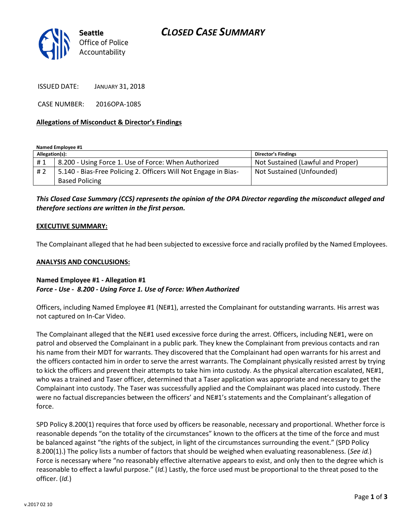# *CLOSED CASE SUMMARY*



ISSUED DATE: JANUARY 31, 2018

CASE NUMBER: 2016OPA-1085

#### **Allegations of Misconduct & Director's Findings**

#### **Named Employee #1**

| Allegation(s): |                                                                 | Director's Findings               |
|----------------|-----------------------------------------------------------------|-----------------------------------|
| #1             | 8.200 - Using Force 1. Use of Force: When Authorized            | Not Sustained (Lawful and Proper) |
| #2             | 5.140 - Bias-Free Policing 2. Officers Will Not Engage in Bias- | Not Sustained (Unfounded)         |
|                | <b>Based Policing</b>                                           |                                   |

*This Closed Case Summary (CCS) represents the opinion of the OPA Director regarding the misconduct alleged and therefore sections are written in the first person.* 

#### **EXECUTIVE SUMMARY:**

The Complainant alleged that he had been subjected to excessive force and racially profiled by the Named Employees.

### **ANALYSIS AND CONCLUSIONS:**

### **Named Employee #1 - Allegation #1** *Force - Use - 8.200 - Using Force 1. Use of Force: When Authorized*

Officers, including Named Employee #1 (NE#1), arrested the Complainant for outstanding warrants. His arrest was not captured on In-Car Video.

The Complainant alleged that the NE#1 used excessive force during the arrest. Officers, including NE#1, were on patrol and observed the Complainant in a public park. They knew the Complainant from previous contacts and ran his name from their MDT for warrants. They discovered that the Complainant had open warrants for his arrest and the officers contacted him in order to serve the arrest warrants. The Complainant physically resisted arrest by trying to kick the officers and prevent their attempts to take him into custody. As the physical altercation escalated, NE#1, who was a trained and Taser officer, determined that a Taser application was appropriate and necessary to get the Complainant into custody. The Taser was successfully applied and the Complainant was placed into custody. There were no factual discrepancies between the officers' and NE#1's statements and the Complainant's allegation of force.

SPD Policy 8.200(1) requires that force used by officers be reasonable, necessary and proportional. Whether force is reasonable depends "on the totality of the circumstances" known to the officers at the time of the force and must be balanced against "the rights of the subject, in light of the circumstances surrounding the event." (SPD Policy 8.200(1).) The policy lists a number of factors that should be weighed when evaluating reasonableness. (*See id.*) Force is necessary where "no reasonably effective alternative appears to exist, and only then to the degree which is reasonable to effect a lawful purpose." (*Id.*) Lastly, the force used must be proportional to the threat posed to the officer. (*Id.*)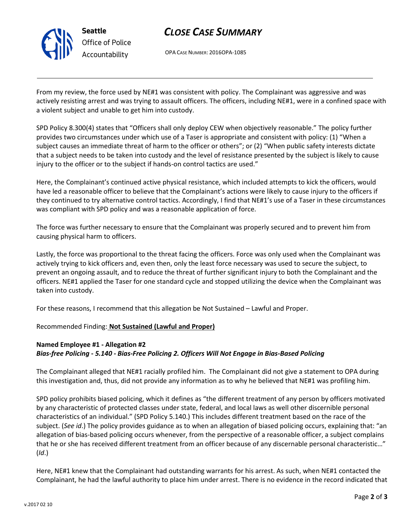

# *CLOSE CASE SUMMARY*

OPA CASE NUMBER: 2016OPA-1085

From my review, the force used by NE#1 was consistent with policy. The Complainant was aggressive and was actively resisting arrest and was trying to assault officers. The officers, including NE#1, were in a confined space with a violent subject and unable to get him into custody.

SPD Policy 8.300(4) states that "Officers shall only deploy CEW when objectively reasonable." The policy further provides two circumstances under which use of a Taser is appropriate and consistent with policy: (1) "When a subject causes an immediate threat of harm to the officer or others"; or (2) "When public safety interests dictate that a subject needs to be taken into custody and the level of resistance presented by the subject is likely to cause injury to the officer or to the subject if hands-on control tactics are used."

Here, the Complainant's continued active physical resistance, which included attempts to kick the officers, would have led a reasonable officer to believe that the Complainant's actions were likely to cause injury to the officers if they continued to try alternative control tactics. Accordingly, I find that NE#1's use of a Taser in these circumstances was compliant with SPD policy and was a reasonable application of force.

The force was further necessary to ensure that the Complainant was properly secured and to prevent him from causing physical harm to officers.

Lastly, the force was proportional to the threat facing the officers. Force was only used when the Complainant was actively trying to kick officers and, even then, only the least force necessary was used to secure the subject, to prevent an ongoing assault, and to reduce the threat of further significant injury to both the Complainant and the officers. NE#1 applied the Taser for one standard cycle and stopped utilizing the device when the Complainant was taken into custody.

For these reasons, I recommend that this allegation be Not Sustained – Lawful and Proper.

### Recommended Finding: **Not Sustained (Lawful and Proper)**

### **Named Employee #1 - Allegation #2** *Bias-free Policing - 5.140 - Bias-Free Policing 2. Officers Will Not Engage in Bias-Based Policing*

The Complainant alleged that NE#1 racially profiled him. The Complainant did not give a statement to OPA during this investigation and, thus, did not provide any information as to why he believed that NE#1 was profiling him.

SPD policy prohibits biased policing, which it defines as "the different treatment of any person by officers motivated by any characteristic of protected classes under state, federal, and local laws as well other discernible personal characteristics of an individual." (SPD Policy 5.140.) This includes different treatment based on the race of the subject. (*See id*.) The policy provides guidance as to when an allegation of biased policing occurs, explaining that: "an allegation of bias-based policing occurs whenever, from the perspective of a reasonable officer, a subject complains that he or she has received different treatment from an officer because of any discernable personal characteristic…" (*Id*.)

Here, NE#1 knew that the Complainant had outstanding warrants for his arrest. As such, when NE#1 contacted the Complainant, he had the lawful authority to place him under arrest. There is no evidence in the record indicated that